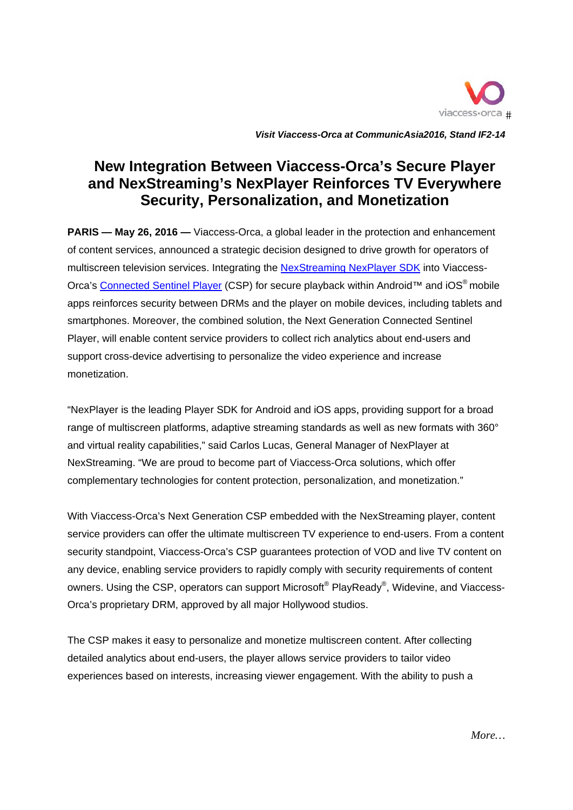

Visit Viaccess-Orca at CommunicAsia2016, Stand IF2-14

# **New Integration Between Viaccess-Orca's Secure Player** and NexStreaming's NexPlayer Reinforces TV Everywhere Security, Personalization, and Monetization

**PARIS** — May 26, 2016 — Viaccess-Orca, a global leader in the protection and enhancement of content services, announced a strategic decision designed to drive growth for operators of multiscreen television services. Integrating the NexStreaming NexPlayer SDK into Viaccess-Orca's Connected Sentinel Player (CSP) for secure playback within Android™ and iOS<sup>®</sup> mobile apps reinforces security between DRMs and the player on mobile devices, including tablets and smartphones. Moreover, the combined solution, the Next Generation Connected Sentinel Player, will enable content service providers to collect rich analytics about end-users and support cross-device advertising to personalize the video experience and increase monetization.

"NexPlayer is the leading Player SDK for Android and iOS apps, providing support for a broad range of multiscreen platforms, adaptive streaming standards as well as new formats with 360° and virtual reality capabilities," said Carlos Lucas, General Manager of NexPlayer at NexStreaming. "We are proud to become part of Viaccess-Orca solutions, which offer complementary technologies for content protection, personalization, and monetization."

With Viaccess-Orca's Next Generation CSP embedded with the NexStreaming player, content service providers can offer the ultimate multiscreen TV experience to end-users. From a content security standpoint, Viaccess-Orca's CSP guarantees protection of VOD and live TV content on any device, enabling service providers to rapidly comply with security requirements of content owners. Using the CSP, operators can support Microsoft<sup>®</sup> PlayReady<sup>®</sup>, Widevine, and Viaccess-Orca's proprietary DRM, approved by all major Hollywood studios.

The CSP makes it easy to personalize and monetize multiscreen content. After collecting detailed analytics about end-users, the player allows service providers to tailor video experiences based on interests, increasing viewer engagement. With the ability to push a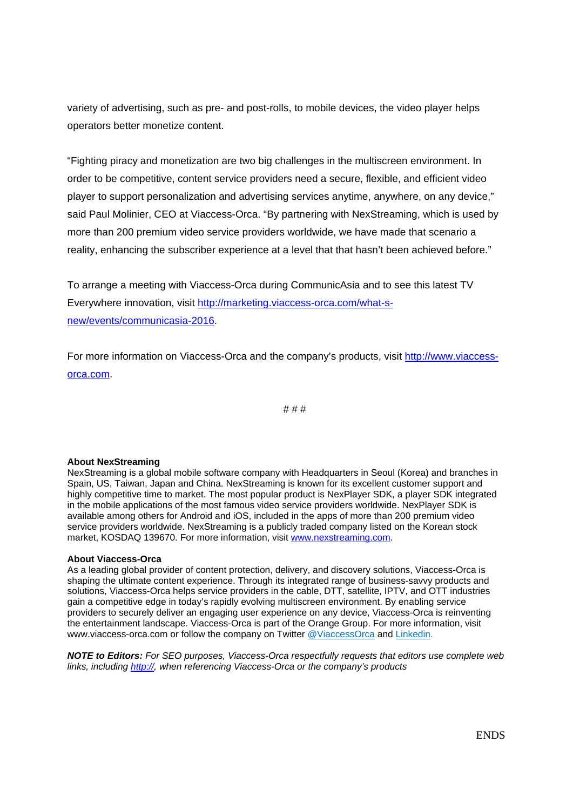variety of advertising, such as pre- and post-rolls, to mobile devices, the video player helps operators better monetize content.

"Fighting piracy and monetization are two big challenges in the multiscreen environment. In order to be competitive, content service providers need a secure, flexible, and efficient video player to support personalization and advertising services anytime, anywhere, on any device," said Paul Molinier, CEO at Viaccess-Orca. "By partnering with NexStreaming, which is used by more than 200 premium video service providers worldwide, we have made that scenario a reality, enhancing the subscriber experience at a level that that hasn't been achieved before."

To arrange a meeting with Viaccess-Orca during CommunicAsia and to see this latest TV Everywhere innovation, visit http://marketing.viaccess-orca.com/what-snew/events/communicasia-2016.

For more information on Viaccess-Orca and the company's products, visit http://www.viaccessorca.com.

# # #

#### **About NexStreaming**

NexStreaming is a global mobile software company with Headquarters in Seoul (Korea) and branches in Spain, US, Taiwan, Japan and China. NexStreaming is known for its excellent customer support and highly competitive time to market. The most popular product is NexPlayer SDK, a player SDK integrated in the mobile applications of the most famous video service providers worldwide. NexPlayer SDK is available among others for Android and iOS, included in the apps of more than 200 premium video service providers worldwide. NexStreaming is a publicly traded company listed on the Korean stock market, KOSDAQ 139670. For more information, visit www.nexstreaming.com.

#### **About Viaccess-Orca**

As a leading global provider of content protection, delivery, and discovery solutions, Viaccess-Orca is shaping the ultimate content experience. Through its integrated range of business-savvy products and solutions, Viaccess-Orca helps service providers in the cable, DTT, satellite, IPTV, and OTT industries gain a competitive edge in today's rapidly evolving multiscreen environment. By enabling service providers to securely deliver an engaging user experience on any device, Viaccess-Orca is reinventing the entertainment landscape. Viaccess-Orca is part of the Orange Group. For more information, visit www.viaccess-orca.com or follow the company on Twitter @ViaccessOrca and Linkedin.

*NOTE to Editors: For SEO purposes, Viaccess-Orca respectfully requests that editors use complete web links, including http://, when referencing Viaccess-Orca or the company's products*